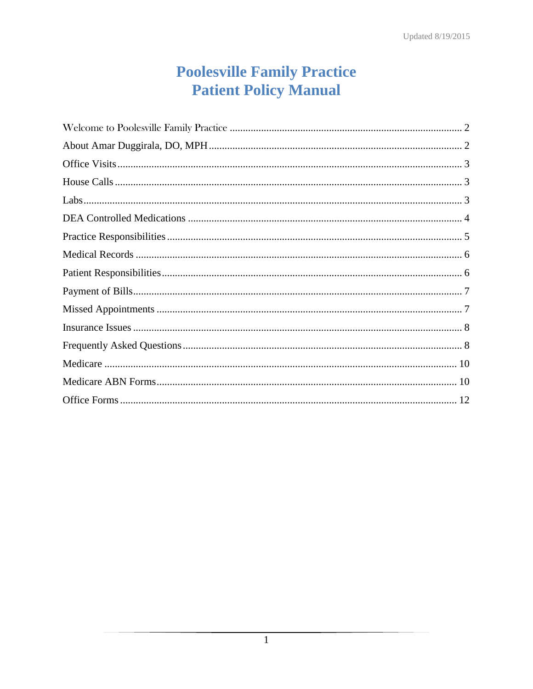# **Poolesville Family Practice Patient Policy Manual**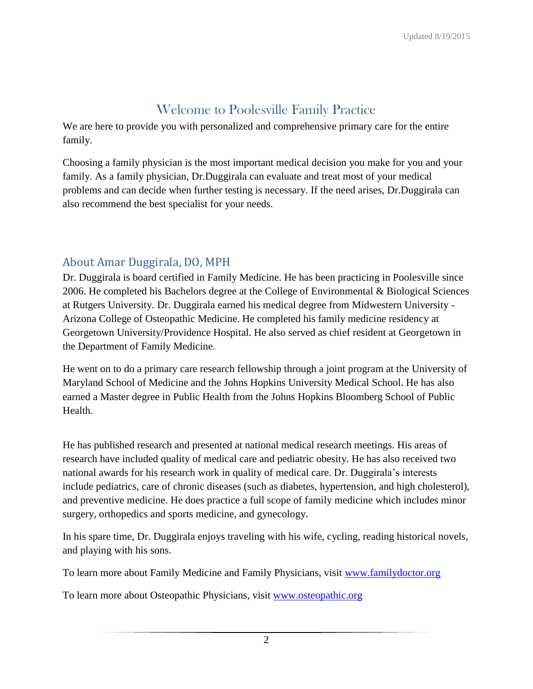# Welcome to Poolesville Family Practice

We are here to provide you with personalized and comprehensive primary care for the entire family.

Choosing a family physician is the most important medical decision you make for you and your family. As a family physician, Dr.Duggirala can evaluate and treat most of your medical problems and can decide when further testing is necessary. If the need arises, Dr.Duggirala can also recommend the best specialist for your needs.

### About Amar Duggirala, DO, MPH

Dr. Duggirala is board certified in Family Medicine. He has been practicing in Poolesville since 2006. He completed his Bachelors degree at the College of Environmental & Biological Sciences at Rutgers University. Dr. Duggirala earned his medical degree from Midwestern University - Arizona College of Osteopathic Medicine. He completed his family medicine residency at Georgetown University/Providence Hospital. He also served as chief resident at Georgetown in the Department of Family Medicine.

He went on to do a primary care research fellowship through a joint program at the University of Maryland School of Medicine and the Johns Hopkins University Medical School. He has also earned a Master degree in Public Health from the Johns Hopkins Bloomberg School of Public Health.

He has published research and presented at national medical research meetings. His areas of research have included quality of medical care and pediatric obesity. He has also received two national awards for his research work in quality of medical care. Dr. Duggirala's interests include pediatrics, care of chronic diseases (such as diabetes, hypertension, and high cholesterol), and preventive medicine. He does practice a full scope of family medicine which includes minor surgery, orthopedics and sports medicine, and gynecology.

In his spare time, Dr. Duggirala enjoys traveling with his wife, cycling, reading historical novels, and playing with his sons.

To learn more about Family Medicine and Family Physicians, visit [www.familydoctor.org](http://www.familydoctor.org/)

To learn more about Osteopathic Physicians, visit [www.osteopathic.org](http://www.osteopathic.org/)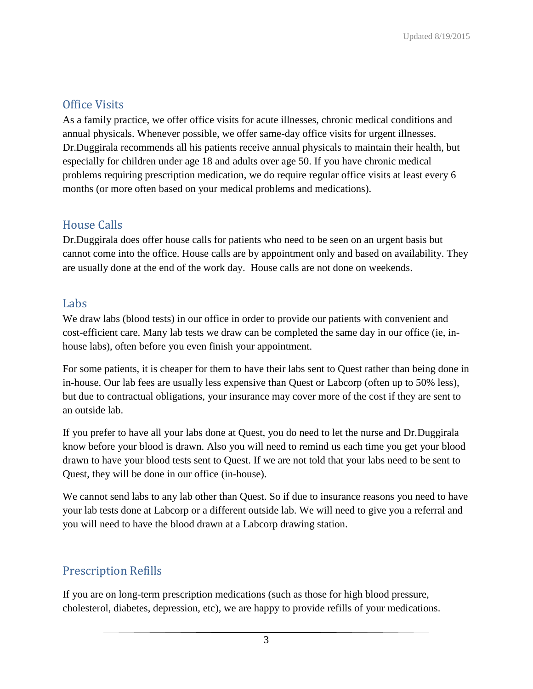# Office Visits

As a family practice, we offer office visits for acute illnesses, chronic medical conditions and annual physicals. Whenever possible, we offer same-day office visits for urgent illnesses. Dr.Duggirala recommends all his patients receive annual physicals to maintain their health, but especially for children under age 18 and adults over age 50. If you have chronic medical problems requiring prescription medication, we do require regular office visits at least every 6 months (or more often based on your medical problems and medications).

## House Calls

Dr.Duggirala does offer house calls for patients who need to be seen on an urgent basis but cannot come into the office. House calls are by appointment only and based on availability. They are usually done at the end of the work day. House calls are not done on weekends.

### Labs

We draw labs (blood tests) in our office in order to provide our patients with convenient and cost-efficient care. Many lab tests we draw can be completed the same day in our office (ie, inhouse labs), often before you even finish your appointment.

For some patients, it is cheaper for them to have their labs sent to Quest rather than being done in in-house. Our lab fees are usually less expensive than Quest or Labcorp (often up to 50% less), but due to contractual obligations, your insurance may cover more of the cost if they are sent to an outside lab.

If you prefer to have all your labs done at Quest, you do need to let the nurse and Dr.Duggirala know before your blood is drawn. Also you will need to remind us each time you get your blood drawn to have your blood tests sent to Quest. If we are not told that your labs need to be sent to Quest, they will be done in our office (in-house).

We cannot send labs to any lab other than Quest. So if due to insurance reasons you need to have your lab tests done at Labcorp or a different outside lab. We will need to give you a referral and you will need to have the blood drawn at a Labcorp drawing station.

# Prescription Refills

If you are on long-term prescription medications (such as those for high blood pressure, cholesterol, diabetes, depression, etc), we are happy to provide refills of your medications.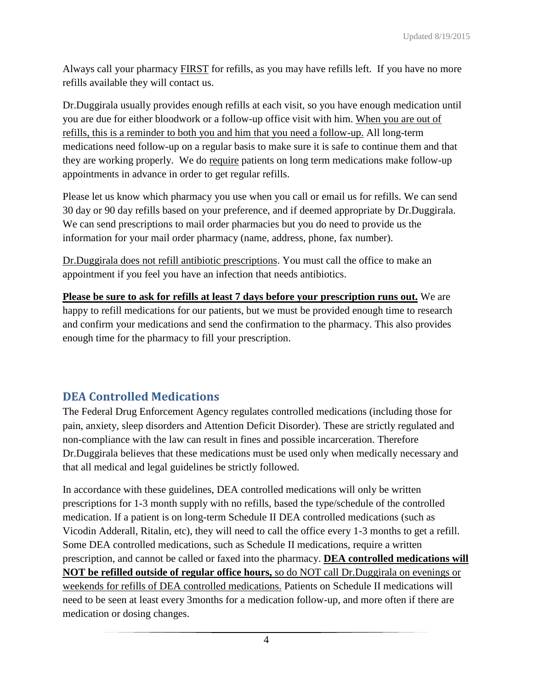Always call your pharmacy **FIRST** for refills, as you may have refills left. If you have no more refills available they will contact us.

Dr.Duggirala usually provides enough refills at each visit, so you have enough medication until you are due for either bloodwork or a follow-up office visit with him. When you are out of refills, this is a reminder to both you and him that you need a follow-up. All long-term medications need follow-up on a regular basis to make sure it is safe to continue them and that they are working properly. We do require patients on long term medications make follow-up appointments in advance in order to get regular refills.

Please let us know which pharmacy you use when you call or email us for refills. We can send 30 day or 90 day refills based on your preference, and if deemed appropriate by Dr.Duggirala. We can send prescriptions to mail order pharmacies but you do need to provide us the information for your mail order pharmacy (name, address, phone, fax number).

Dr.Duggirala does not refill antibiotic prescriptions. You must call the office to make an appointment if you feel you have an infection that needs antibiotics.

**Please be sure to ask for refills at least 7 days before your prescription runs out.** We are happy to refill medications for our patients, but we must be provided enough time to research and confirm your medications and send the confirmation to the pharmacy. This also provides enough time for the pharmacy to fill your prescription.

# **DEA Controlled Medications**

The Federal Drug Enforcement Agency regulates controlled medications (including those for pain, anxiety, sleep disorders and Attention Deficit Disorder). These are strictly regulated and non-compliance with the law can result in fines and possible incarceration. Therefore Dr.Duggirala believes that these medications must be used only when medically necessary and that all medical and legal guidelines be strictly followed.

In accordance with these guidelines, DEA controlled medications will only be written prescriptions for 1-3 month supply with no refills, based the type/schedule of the controlled medication. If a patient is on long-term Schedule II DEA controlled medications (such as Vicodin Adderall, Ritalin, etc), they will need to call the office every 1-3 months to get a refill. Some DEA controlled medications, such as Schedule II medications, require a written prescription, and cannot be called or faxed into the pharmacy. **DEA controlled medications will NOT be refilled outside of regular office hours,** so do NOT call Dr.Duggirala on evenings or weekends for refills of DEA controlled medications. Patients on Schedule II medications will need to be seen at least every 3months for a medication follow-up, and more often if there are medication or dosing changes.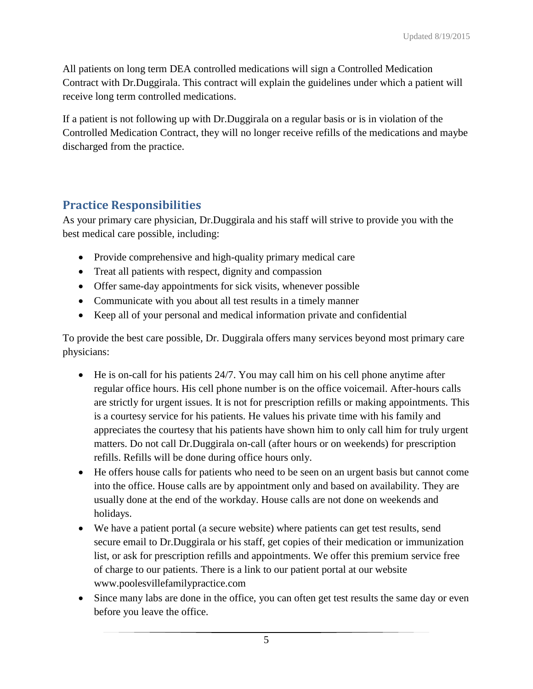All patients on long term DEA controlled medications will sign a Controlled Medication Contract with Dr.Duggirala. This contract will explain the guidelines under which a patient will receive long term controlled medications.

If a patient is not following up with Dr.Duggirala on a regular basis or is in violation of the Controlled Medication Contract, they will no longer receive refills of the medications and maybe discharged from the practice.

# **Practice Responsibilities**

As your primary care physician, Dr.Duggirala and his staff will strive to provide you with the best medical care possible, including:

- Provide comprehensive and high-quality primary medical care
- Treat all patients with respect, dignity and compassion
- Offer same-day appointments for sick visits, whenever possible
- Communicate with you about all test results in a timely manner
- Keep all of your personal and medical information private and confidential

To provide the best care possible, Dr. Duggirala offers many services beyond most primary care physicians:

- He is on-call for his patients 24/7. You may call him on his cell phone anytime after regular office hours. His cell phone number is on the office voicemail. After-hours calls are strictly for urgent issues. It is not for prescription refills or making appointments. This is a courtesy service for his patients. He values his private time with his family and appreciates the courtesy that his patients have shown him to only call him for truly urgent matters. Do not call Dr.Duggirala on-call (after hours or on weekends) for prescription refills. Refills will be done during office hours only.
- He offers house calls for patients who need to be seen on an urgent basis but cannot come into the office. House calls are by appointment only and based on availability. They are usually done at the end of the workday. House calls are not done on weekends and holidays.
- We have a patient portal (a secure website) where patients can get test results, send secure email to Dr.Duggirala or his staff, get copies of their medication or immunization list, or ask for prescription refills and appointments. We offer this premium service free of charge to our patients. There is a link to our patient portal at our website www.poolesvillefamilypractice.com
- Since many labs are done in the office, you can often get test results the same day or even before you leave the office.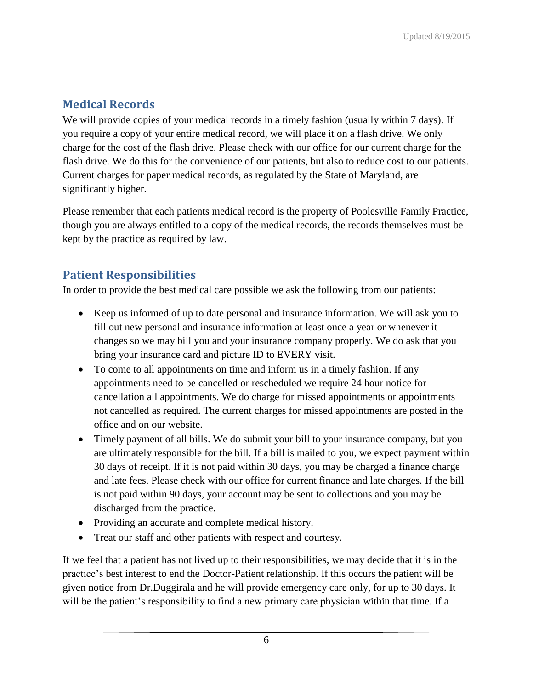# **Medical Records**

We will provide copies of your medical records in a timely fashion (usually within 7 days). If you require a copy of your entire medical record, we will place it on a flash drive. We only charge for the cost of the flash drive. Please check with our office for our current charge for the flash drive. We do this for the convenience of our patients, but also to reduce cost to our patients. Current charges for paper medical records, as regulated by the State of Maryland, are significantly higher.

Please remember that each patients medical record is the property of Poolesville Family Practice, though you are always entitled to a copy of the medical records, the records themselves must be kept by the practice as required by law.

### **Patient Responsibilities**

In order to provide the best medical care possible we ask the following from our patients:

- Keep us informed of up to date personal and insurance information. We will ask you to fill out new personal and insurance information at least once a year or whenever it changes so we may bill you and your insurance company properly. We do ask that you bring your insurance card and picture ID to EVERY visit.
- To come to all appointments on time and inform us in a timely fashion. If any appointments need to be cancelled or rescheduled we require 24 hour notice for cancellation all appointments. We do charge for missed appointments or appointments not cancelled as required. The current charges for missed appointments are posted in the office and on our website.
- Timely payment of all bills. We do submit your bill to your insurance company, but you are ultimately responsible for the bill. If a bill is mailed to you, we expect payment within 30 days of receipt. If it is not paid within 30 days, you may be charged a finance charge and late fees. Please check with our office for current finance and late charges. If the bill is not paid within 90 days, your account may be sent to collections and you may be discharged from the practice.
- Providing an accurate and complete medical history.
- Treat our staff and other patients with respect and courtesy.

If we feel that a patient has not lived up to their responsibilities, we may decide that it is in the practice's best interest to end the Doctor-Patient relationship. If this occurs the patient will be given notice from Dr.Duggirala and he will provide emergency care only, for up to 30 days. It will be the patient's responsibility to find a new primary care physician within that time. If a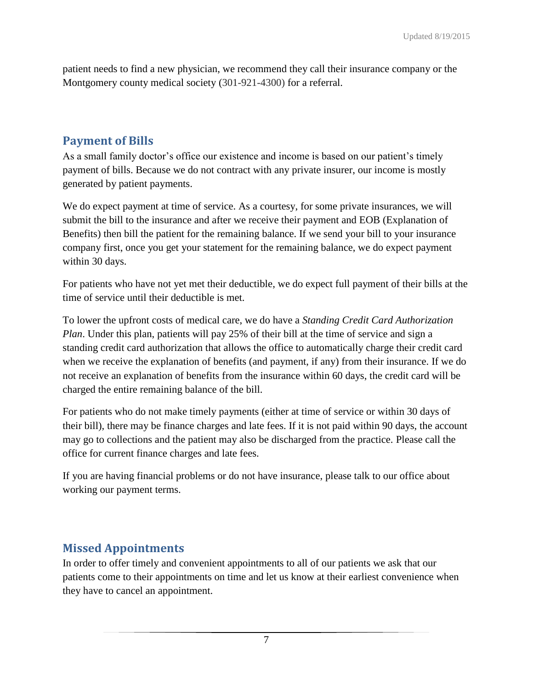patient needs to find a new physician, we recommend they call their insurance company or the Montgomery county medical society (301-921-4300) for a referral.

### **Payment of Bills**

As a small family doctor's office our existence and income is based on our patient's timely payment of bills. Because we do not contract with any private insurer, our income is mostly generated by patient payments.

We do expect payment at time of service. As a courtesy, for some private insurances, we will submit the bill to the insurance and after we receive their payment and EOB (Explanation of Benefits) then bill the patient for the remaining balance. If we send your bill to your insurance company first, once you get your statement for the remaining balance, we do expect payment within 30 days.

For patients who have not yet met their deductible, we do expect full payment of their bills at the time of service until their deductible is met.

To lower the upfront costs of medical care, we do have a *Standing Credit Card Authorization Plan*. Under this plan, patients will pay 25% of their bill at the time of service and sign a standing credit card authorization that allows the office to automatically charge their credit card when we receive the explanation of benefits (and payment, if any) from their insurance. If we do not receive an explanation of benefits from the insurance within 60 days, the credit card will be charged the entire remaining balance of the bill.

For patients who do not make timely payments (either at time of service or within 30 days of their bill), there may be finance charges and late fees. If it is not paid within 90 days, the account may go to collections and the patient may also be discharged from the practice. Please call the office for current finance charges and late fees.

If you are having financial problems or do not have insurance, please talk to our office about working our payment terms.

### **Missed Appointments**

In order to offer timely and convenient appointments to all of our patients we ask that our patients come to their appointments on time and let us know at their earliest convenience when they have to cancel an appointment.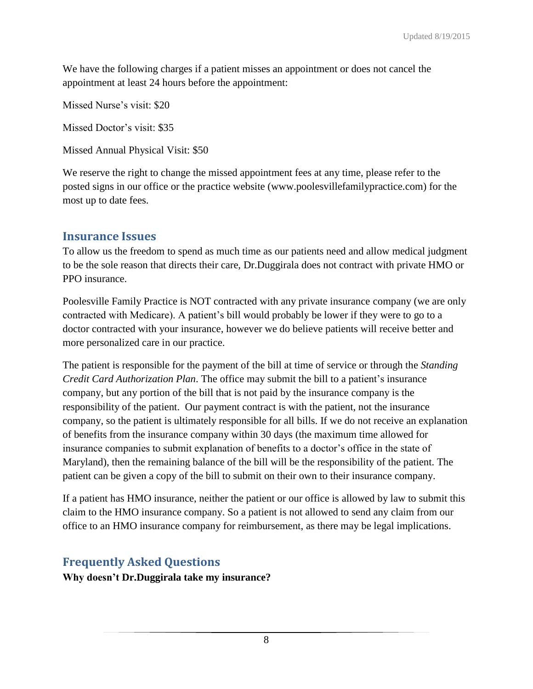We have the following charges if a patient misses an appointment or does not cancel the appointment at least 24 hours before the appointment:

Missed Nurse's visit: \$20

Missed Doctor's visit: \$35

Missed Annual Physical Visit: \$50

We reserve the right to change the missed appointment fees at any time, please refer to the posted signs in our office or the practice website (www.poolesvillefamilypractice.com) for the most up to date fees.

### **Insurance Issues**

To allow us the freedom to spend as much time as our patients need and allow medical judgment to be the sole reason that directs their care, Dr.Duggirala does not contract with private HMO or PPO insurance.

Poolesville Family Practice is NOT contracted with any private insurance company (we are only contracted with Medicare). A patient's bill would probably be lower if they were to go to a doctor contracted with your insurance, however we do believe patients will receive better and more personalized care in our practice.

The patient is responsible for the payment of the bill at time of service or through the *Standing Credit Card Authorization Plan*. The office may submit the bill to a patient's insurance company, but any portion of the bill that is not paid by the insurance company is the responsibility of the patient. Our payment contract is with the patient, not the insurance company, so the patient is ultimately responsible for all bills. If we do not receive an explanation of benefits from the insurance company within 30 days (the maximum time allowed for insurance companies to submit explanation of benefits to a doctor's office in the state of Maryland), then the remaining balance of the bill will be the responsibility of the patient. The patient can be given a copy of the bill to submit on their own to their insurance company.

If a patient has HMO insurance, neither the patient or our office is allowed by law to submit this claim to the HMO insurance company. So a patient is not allowed to send any claim from our office to an HMO insurance company for reimbursement, as there may be legal implications.

### **Frequently Asked Questions**

**Why doesn't Dr.Duggirala take my insurance?**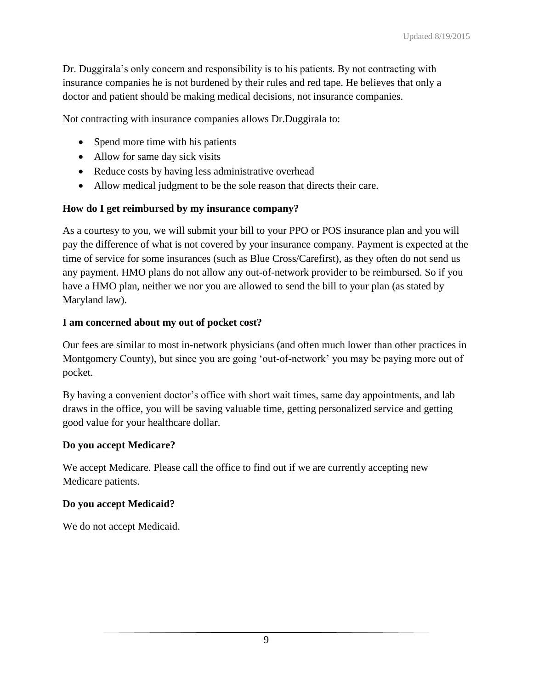Dr. Duggirala's only concern and responsibility is to his patients. By not contracting with insurance companies he is not burdened by their rules and red tape. He believes that only a doctor and patient should be making medical decisions, not insurance companies.

Not contracting with insurance companies allows Dr.Duggirala to:

- Spend more time with his patients
- Allow for same day sick visits
- Reduce costs by having less administrative overhead
- Allow medical judgment to be the sole reason that directs their care.

#### **How do I get reimbursed by my insurance company?**

As a courtesy to you, we will submit your bill to your PPO or POS insurance plan and you will pay the difference of what is not covered by your insurance company. Payment is expected at the time of service for some insurances (such as Blue Cross/Carefirst), as they often do not send us any payment. HMO plans do not allow any out-of-network provider to be reimbursed. So if you have a HMO plan, neither we nor you are allowed to send the bill to your plan (as stated by Maryland law).

#### **I am concerned about my out of pocket cost?**

Our fees are similar to most in-network physicians (and often much lower than other practices in Montgomery County), but since you are going 'out-of-network' you may be paying more out of pocket.

By having a convenient doctor's office with short wait times, same day appointments, and lab draws in the office, you will be saving valuable time, getting personalized service and getting good value for your healthcare dollar.

#### **Do you accept Medicare?**

We accept Medicare. Please call the office to find out if we are currently accepting new Medicare patients.

#### **Do you accept Medicaid?**

We do not accept Medicaid.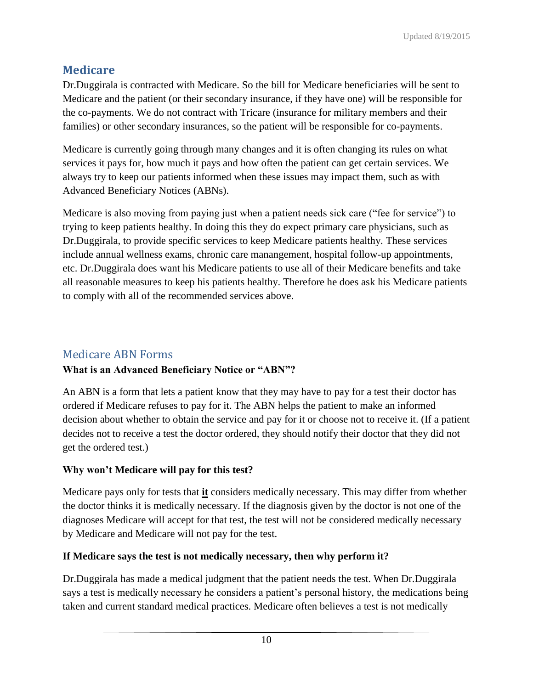### **Medicare**

Dr.Duggirala is contracted with Medicare. So the bill for Medicare beneficiaries will be sent to Medicare and the patient (or their secondary insurance, if they have one) will be responsible for the co-payments. We do not contract with Tricare (insurance for military members and their families) or other secondary insurances, so the patient will be responsible for co-payments.

Medicare is currently going through many changes and it is often changing its rules on what services it pays for, how much it pays and how often the patient can get certain services. We always try to keep our patients informed when these issues may impact them, such as with Advanced Beneficiary Notices (ABNs).

Medicare is also moving from paying just when a patient needs sick care ("fee for service") to trying to keep patients healthy. In doing this they do expect primary care physicians, such as Dr.Duggirala, to provide specific services to keep Medicare patients healthy. These services include annual wellness exams, chronic care manangement, hospital follow-up appointments, etc. Dr.Duggirala does want his Medicare patients to use all of their Medicare benefits and take all reasonable measures to keep his patients healthy. Therefore he does ask his Medicare patients to comply with all of the recommended services above.

### Medicare ABN Forms

#### **What is an Advanced Beneficiary Notice or "ABN"?**

An ABN is a form that lets a patient know that they may have to pay for a test their doctor has ordered if Medicare refuses to pay for it. The ABN helps the patient to make an informed decision about whether to obtain the service and pay for it or choose not to receive it. (If a patient decides not to receive a test the doctor ordered, they should notify their doctor that they did not get the ordered test.)

#### **Why won't Medicare will pay for this test?**

Medicare pays only for tests that **it** considers medically necessary. This may differ from whether the doctor thinks it is medically necessary. If the diagnosis given by the doctor is not one of the diagnoses Medicare will accept for that test, the test will not be considered medically necessary by Medicare and Medicare will not pay for the test.

#### **If Medicare says the test is not medically necessary, then why perform it?**

Dr.Duggirala has made a medical judgment that the patient needs the test. When Dr.Duggirala says a test is medically necessary he considers a patient's personal history, the medications being taken and current standard medical practices. Medicare often believes a test is not medically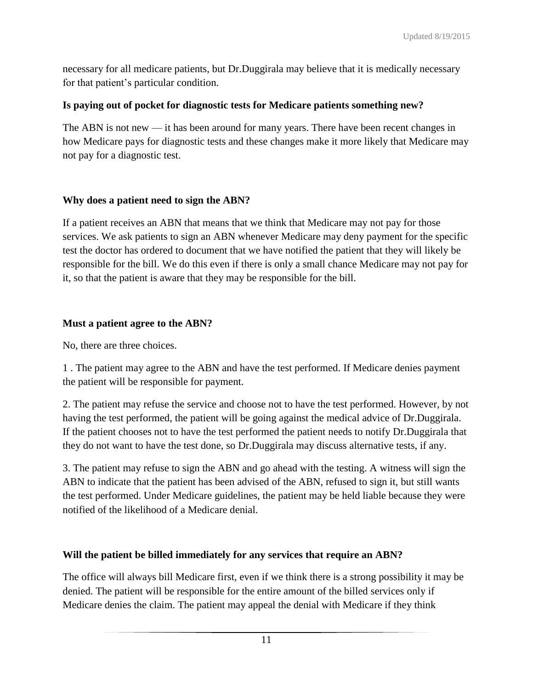necessary for all medicare patients, but Dr.Duggirala may believe that it is medically necessary for that patient's particular condition.

#### **Is paying out of pocket for diagnostic tests for Medicare patients something new?**

The ABN is not new — it has been around for many years. There have been recent changes in how Medicare pays for diagnostic tests and these changes make it more likely that Medicare may not pay for a diagnostic test.

#### **Why does a patient need to sign the ABN?**

If a patient receives an ABN that means that we think that Medicare may not pay for those services. We ask patients to sign an ABN whenever Medicare may deny payment for the specific test the doctor has ordered to document that we have notified the patient that they will likely be responsible for the bill. We do this even if there is only a small chance Medicare may not pay for it, so that the patient is aware that they may be responsible for the bill.

#### **Must a patient agree to the ABN?**

No, there are three choices.

1 . The patient may agree to the ABN and have the test performed. If Medicare denies payment the patient will be responsible for payment.

2. The patient may refuse the service and choose not to have the test performed. However, by not having the test performed, the patient will be going against the medical advice of Dr.Duggirala. If the patient chooses not to have the test performed the patient needs to notify Dr.Duggirala that they do not want to have the test done, so Dr.Duggirala may discuss alternative tests, if any.

3. The patient may refuse to sign the ABN and go ahead with the testing. A witness will sign the ABN to indicate that the patient has been advised of the ABN, refused to sign it, but still wants the test performed. Under Medicare guidelines, the patient may be held liable because they were notified of the likelihood of a Medicare denial.

#### **Will the patient be billed immediately for any services that require an ABN?**

The office will always bill Medicare first, even if we think there is a strong possibility it may be denied. The patient will be responsible for the entire amount of the billed services only if Medicare denies the claim. The patient may appeal the denial with Medicare if they think